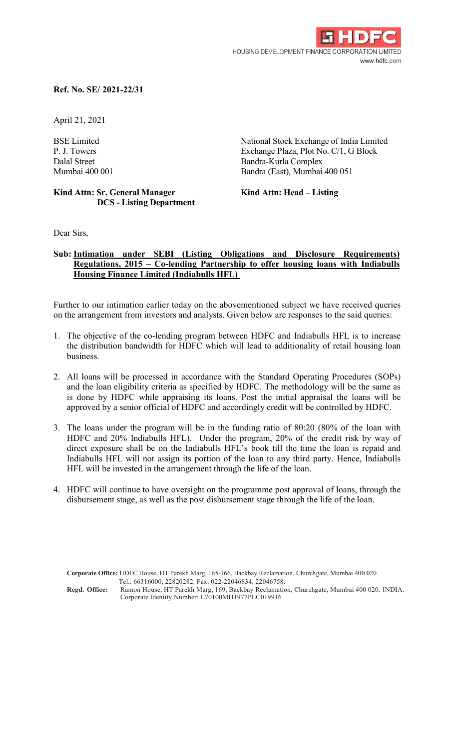

## Ref. No. SE/ 2021-22/31

April 21, 2021

BSE Limited National Stock Exchange of India Limited P. J. Towers Exchange Plaza, Plot No. C/1, G Block Dalal Street Bandra-Kurla Complex Mumbai 400 001 Bandra (East), Mumbai 400 051

## Kind Attn: Sr. General Manager Kind Attn: Head – Listing DCS - Listing Department

Dear Sirs,

## Sub: Intimation under SEBI (Listing Obligations and Disclosure Requirements) Regulations, 2015 – Co-lending Partnership to offer housing loans with Indiabulls Housing Finance Limited (Indiabulls HFL)

Further to our intimation earlier today on the abovementioned subject we have received queries on the arrangement from investors and analysts. Given below are responses to the said queries:

- 1. The objective of the co-lending program between HDFC and Indiabulls HFL is to increase the distribution bandwidth for HDFC which will lead to additionality of retail housing loan business.
- 2. All loans will be processed in accordance with the Standard Operating Procedures (SOPs) and the loan eligibility criteria as specified by HDFC. The methodology will be the same as is done by HDFC while appraising its loans. Post the initial appraisal the loans will be approved by a senior official of HDFC and accordingly credit will be controlled by HDFC.
- 3. The loans under the program will be in the funding ratio of 80:20 (80% of the loan with HDFC and 20% Indiabulls HFL). Under the program, 20% of the credit risk by way of direct exposure shall be on the Indiabulls HFL's book till the time the loan is repaid and Indiabulls HFL will not assign its portion of the loan to any third party. Hence, Indiabulls HFL will be invested in the arrangement through the life of the loan.
- 4. HDFC will continue to have oversight on the programme post approval of loans, through the disbursement stage, as well as the post disbursement stage through the life of the loan.

Corporate Office: HDFC House, HT Parekh Marg, 165-166, Backbay Reclamation, Churchgate, Mumbai 400 020. Tel.: 66316000, 22820282. Fax: 022-22046834, 22046758.

Regd. Office: Ramon House, HT Parekh Marg, 169, Backbay Reclamation, Churchgate, Mumbai 400 020. INDIA. Corporate Identity Number: L70100MH1977PLC019916